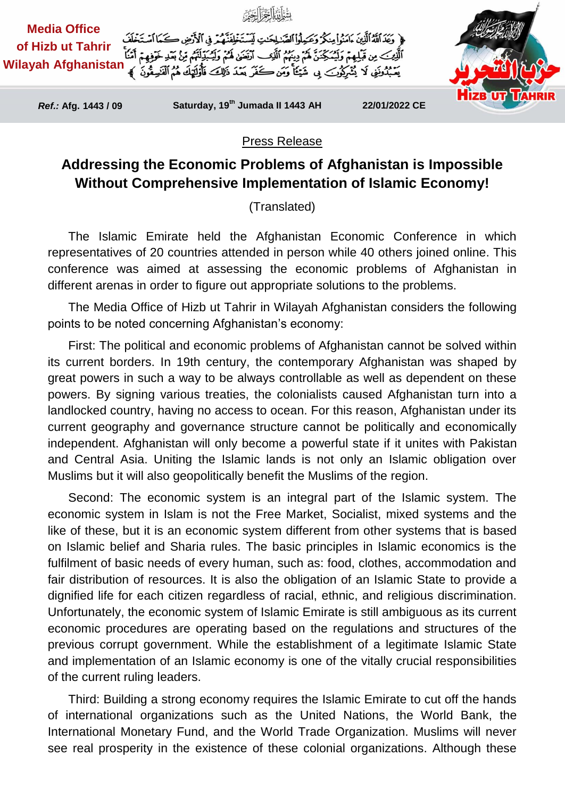

## Press Release

## **Addressing the Economic Problems of Afghanistan is Impossible Without Comprehensive Implementation of Islamic Economy!**

(Translated)

The Islamic Emirate held the Afghanistan Economic Conference in which representatives of 20 countries attended in person while 40 others joined online. This conference was aimed at assessing the economic problems of Afghanistan in different arenas in order to figure out appropriate solutions to the problems.

The Media Office of Hizb ut Tahrir in Wilayah Afghanistan considers the following points to be noted concerning Afghanistan's economy:

First: The political and economic problems of Afghanistan cannot be solved within its current borders. In 19th century, the contemporary Afghanistan was shaped by great powers in such a way to be always controllable as well as dependent on these powers. By signing various treaties, the colonialists caused Afghanistan turn into a landlocked country, having no access to ocean. For this reason, Afghanistan under its current geography and governance structure cannot be politically and economically independent. Afghanistan will only become a powerful state if it unites with Pakistan and Central Asia. Uniting the Islamic lands is not only an Islamic obligation over Muslims but it will also geopolitically benefit the Muslims of the region.

Second: The economic system is an integral part of the Islamic system. The economic system in Islam is not the Free Market, Socialist, mixed systems and the like of these, but it is an economic system different from other systems that is based on Islamic belief and Sharia rules. The basic principles in Islamic economics is the fulfilment of basic needs of every human, such as: food, clothes, accommodation and fair distribution of resources. It is also the obligation of an Islamic State to provide a dignified life for each citizen regardless of racial, ethnic, and religious discrimination. Unfortunately, the economic system of Islamic Emirate is still ambiguous as its current economic procedures are operating based on the regulations and structures of the previous corrupt government. While the establishment of a legitimate Islamic State and implementation of an Islamic economy is one of the vitally crucial responsibilities of the current ruling leaders.

Third: Building a strong economy requires the Islamic Emirate to cut off the hands of international organizations such as the United Nations, the World Bank, the International Monetary Fund, and the World Trade Organization. Muslims will never see real prosperity in the existence of these colonial organizations. Although these